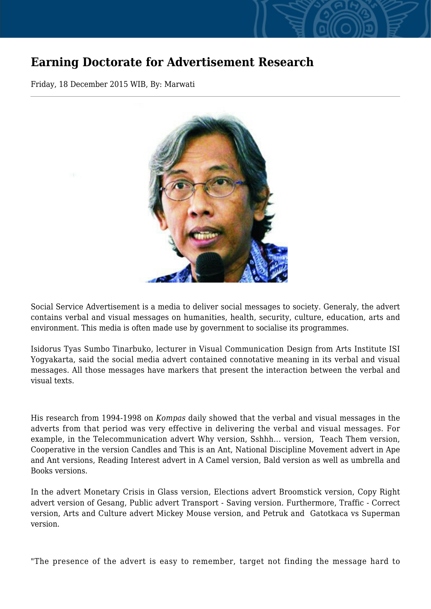## **Earning Doctorate for Advertisement Research**

Friday, 18 December 2015 WIB, By: Marwati



Social Service Advertisement is a media to deliver social messages to society. Generaly, the advert contains verbal and visual messages on humanities, health, security, culture, education, arts and environment. This media is often made use by government to socialise its programmes.

Isidorus Tyas Sumbo Tinarbuko, lecturer in Visual Communication Design from Arts Institute ISI Yogyakarta, said the social media advert contained connotative meaning in its verbal and visual messages. All those messages have markers that present the interaction between the verbal and visual texts.

His research from 1994-1998 on *Kompas* daily showed that the verbal and visual messages in the adverts from that period was very effective in delivering the verbal and visual messages. For example, in the Telecommunication advert Why version, Sshhh... version, Teach Them version, Cooperative in the version Candles and This is an Ant, National Discipline Movement advert in Ape and Ant versions, Reading Interest advert in A Camel version, Bald version as well as umbrella and Books versions.

In the advert Monetary Crisis in Glass version, Elections advert Broomstick version, Copy Right advert version of Gesang, Public advert Transport - Saving version. Furthermore, Traffic - Correct version, Arts and Culture advert Mickey Mouse version, and Petruk and Gatotkaca vs Superman version.

"The presence of the advert is easy to remember, target not finding the message hard to